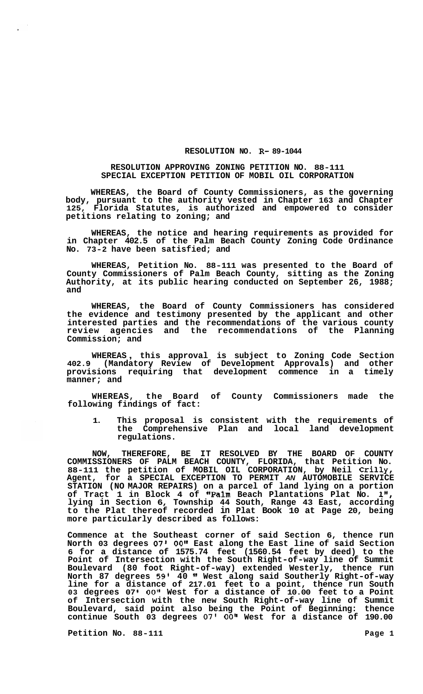## **RESOLUTION NO. R- 89-1044**

## **RESOLUTION APPROVING ZONING PETITION NO. 88-111 SPECIAL EXCEPTION PETITION OF MOBIL OIL CORPORATION**

**WHEREAS, the Board of County Commissioners, as the governing body, pursuant to the authority vested in Chapter 163 and Chapter 125, Florida Statutes, is authorized and empowered to consider petitions relating to zoning; and** 

**WHEREAS, the notice and hearing requirements as provided for in Chapter 402.5 of the Palm Beach County Zoning Code Ordinance No. 73-2 have been satisfied; and** 

**WHEREAS, Petition No. 88-111 was presented to the Board of County Commissioners of Palm Beach County, sitting as the Zoning Authority, at its public hearing conducted on September 26, 1988; and** 

**WHEREAS, the Board of County Commissioners has considered the evidence and testimony presented by the applicant and other interested parties and the recommendations of the various county review agencies and the recommendations of the Planning Commission; and** 

**WHEREAS** , **this approval is subject to Zoning Code Section 402.9 (Mandatory Review of Development Approvals) and other provisions requiring that development commence in a timely manner; and** 

**WHEREAS, the Board of County Commissioners made the following findings of fact:** 

**1. This proposal is consistent with the requirements of the Comprehensive Plan and local land development regulations.** 

**NOW, THEREFORE, BE IT RESOLVED BY THE BOARD OF COUNTY COMMISSIONERS OF PALM BEACH COUNTY, FLORIDA, that Petition No. 88-111 the petition of MOBIL OIL CORPORATION, by Neil Crilly, Agent, for a SPECIAL EXCEPTION TO PERMIT** *AN* **AUTOMOBILE SERVICE STATION (NO MAJOR REPAIRS) on a parcel of land lying on a portion of Tract 1 in Block 4 of "Palm Beach Plantations Plat No. 11\*, lying in Section 6, Township 44 South, Range 43 East, according to the Plat thereof recorded in Plat Book 10 at Page 20, being more particularly described as follows:** 

**Commence at the Southeast corner of said Section 6, thence run North 03 degrees 07' 0O1' East along the East line of said Section 6 for a distance of 1575.74 feet (1560.54 feet by deed) to the Point of Intersection with the South Right-of-way line of Summit Boulevard (80 foot Right-of-way) extended Westerly, thence run North 87 degrees 59' 40 West along said Southerly Right-of-way line for a distance of 217.01 feet to a point, thence run South 03 degrees 07** *00"* **West for a distance of 10.00 feet to a Point of Intersection with the new South Right-of-way line of Summit Boulevard, said point also being the Point of Beginning: thence continue South 03 degrees 07' 0O1l West for a distance of 190.00** 

**Petition No.** 88-111 **Page 1 Page 1** 

 $\mathbf{r}$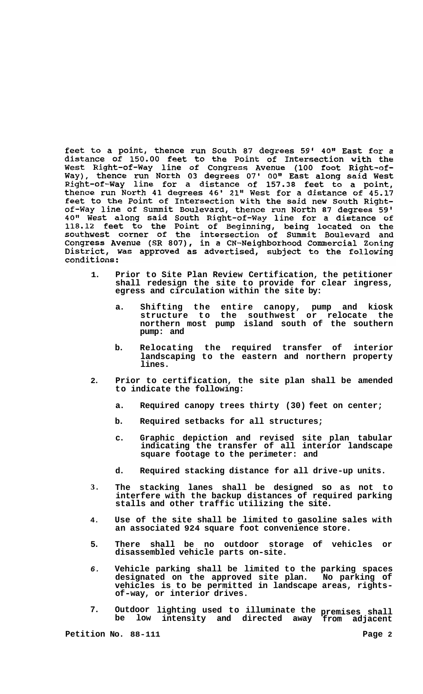feet to a point, thence run South 87 degrees 59' 40" East for a distance of 150.00 feet to the Point of Intersection with the West Right-of-Way line of Congress Avenue (100 foot Right-of-Way), thence run North 03 degrees 07' 00" East along said West<br>Right-of-Way line for a distance of 157.38 feet to a point,<br>thence run North 41 degrees 46' 21" We feet to the Point of Intersection with the said new South Rightof-Way line of Summit Boulevard, thence run North 87 degrees 59' 01-way line of Summit Boulevard, thence fun North 87 degrees 59.<br>40" West along said South Right-of-Way line for a distance of<br>118.12 feet to the Point of Beginning, being located on the<br>southwest corner of the intersectio District, was approved as advertised, subject to the following conditions:

- **1. Prior to Site Plan Review Certification, the petitioner shall redesign the site to provide for clear ingress, egress and circulation within the site by:** 
	- **a. Shifting the entire canopy, pump and kiosk structure to the southwest or relocate the northern most pump island south of the southern pump: and**
	- **b. Relocating the required transfer of interior landscaping to the eastern and northern property lines.**
- **2. Prior to certification, the site plan shall be amended to indicate the following:** 
	- **a. Required canopy trees thirty (30) feet on center;**
	- **b. Required setbacks for all structures;**
	- **c. Graphic depiction and revised site plan tabular indicating the transfer of all interior landscape square footage to the perimeter: and**
	- **d. Required stacking distance for all drive-up units.**
- **3. The stacking lanes shall be designed so as not to interfere with the backup distances of required parking stalls and other traffic utilizing the site.**
- **4. Use of the site shall be limited to gasoline sales with an associated 924 square foot convenience store.**
- **5. There shall be no outdoor storage of vehicles or disassembled vehicle parts on-site.**
- *6.*  **Vehicle parking shall be limited to the parking spaces designated on the approved site plan. No parking of vehicles is to be permitted in landscape areas, rights- of-way, or interior drives.**
- **7. Outdoor lighting used to illuminate the premises shall be low intensity and directed away from adjacent**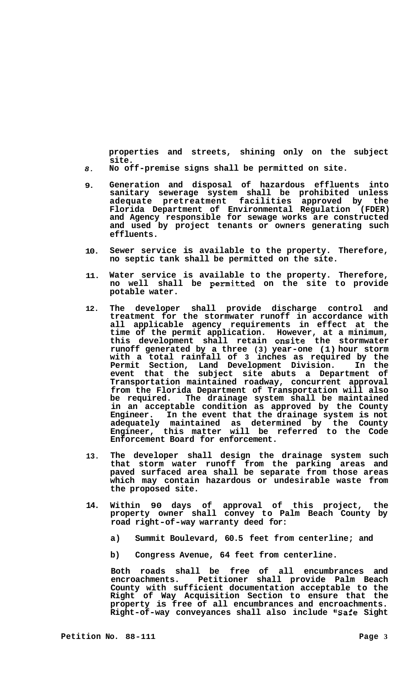**properties and streets, shining only on the subject site.** 

- *8.*  **No off-premise signs shall be permitted on site.**
- **9. Generation and disposal of hazardous effluents into sanitary sewerage system shall be prohibited unless adequate pretreatment facilities approved by the Florida Department of Environmental Regulation (FDER) and Agency responsible for sewage works are constructed and used by project tenants or owners generating such effluents.**
- **10. Sewer service is available to the property. Therefore, no septic tank shall be permitted on the site.**
- **11. Water service is available to the property. Therefore, no well shall be permitted on the site to provide potable water.**
- **12. The developer shall provide discharge control and treatment for the stormwater runoff in accordance with all applicable agency requirements in effect at the time of the permit application. However, at a minimum, this development shall retain onsite the stormwater runoff generated by a three (3) year-one (1) hour storm with a total rainfall of 3 inches as required by the Permit Section, Land Development Division. In the event that the subject site abuts a Department of Transportation maintained roadway, concurrent approval from the Florida Department of Transportation will also**  The drainage system shall be maintained **in an acceptable condition as approved by the County Engineer. In the event that the drainage system is not adequately maintained as determined by the County Engineer, this matter will be referred to the Code Enforcement Board for enforcement.**
- **13. The developer shall design the drainage system such that storm water runoff from the parking areas and paved surfaced area shall be separate from those areas which may contain hazardous or undesirable waste from the proposed site.**
- **14. Within 90 days of approval of this project, the property owner shall convey to Palm Beach County by road right-of-way warranty deed for:** 
	- **a) Summit Boulevard, 60.5 feet from centerline; and**
	- **b) Congress Avenue, 64 feet from centerline.**

**Both roads shall be free of all encumbrances and encroachments. Petitioner shall provide Palm Beach County with sufficient documentation acceptable to the Right of Way Acquisition Section to ensure that the property is free of all encumbrances and encroachments. Right-of-way conveyances shall also include "Safe Sight**